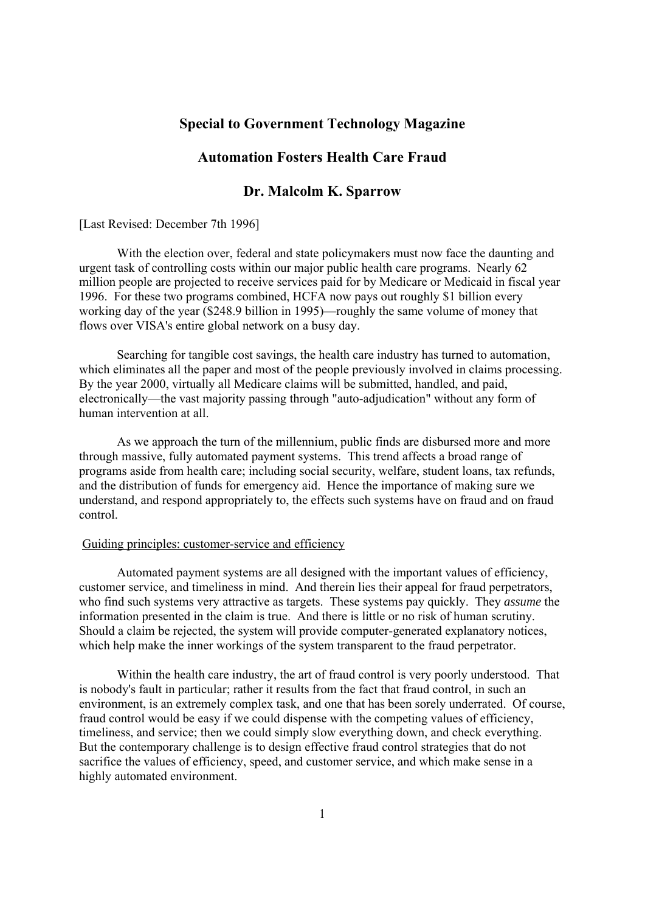## **Special to Government Technology Magazine**

# **Automation Fosters Health Care Fraud**

# **Dr. Malcolm K. Sparrow**

[Last Revised: December 7th 1996]

 With the election over, federal and state policymakers must now face the daunting and urgent task of controlling costs within our major public health care programs. Nearly 62 million people are projected to receive services paid for by Medicare or Medicaid in fiscal year 1996. For these two programs combined, HCFA now pays out roughly \$1 billion every working day of the year (\$248.9 billion in 1995)—roughly the same volume of money that flows over VISA's entire global network on a busy day.

 Searching for tangible cost savings, the health care industry has turned to automation, which eliminates all the paper and most of the people previously involved in claims processing. By the year 2000, virtually all Medicare claims will be submitted, handled, and paid, electronically—the vast majority passing through "auto-adjudication" without any form of human intervention at all.

 As we approach the turn of the millennium, public finds are disbursed more and more through massive, fully automated payment systems. This trend affects a broad range of programs aside from health care; including social security, welfare, student loans, tax refunds, and the distribution of funds for emergency aid. Hence the importance of making sure we understand, and respond appropriately to, the effects such systems have on fraud and on fraud control.

#### Guiding principles: customer-service and efficiency

 Automated payment systems are all designed with the important values of efficiency, customer service, and timeliness in mind. And therein lies their appeal for fraud perpetrators, who find such systems very attractive as targets. These systems pay quickly. They *assume* the information presented in the claim is true. And there is little or no risk of human scrutiny. Should a claim be rejected, the system will provide computer-generated explanatory notices, which help make the inner workings of the system transparent to the fraud perpetrator.

 Within the health care industry, the art of fraud control is very poorly understood. That is nobody's fault in particular; rather it results from the fact that fraud control, in such an environment, is an extremely complex task, and one that has been sorely underrated. Of course, fraud control would be easy if we could dispense with the competing values of efficiency, timeliness, and service; then we could simply slow everything down, and check everything. But the contemporary challenge is to design effective fraud control strategies that do not sacrifice the values of efficiency, speed, and customer service, and which make sense in a highly automated environment.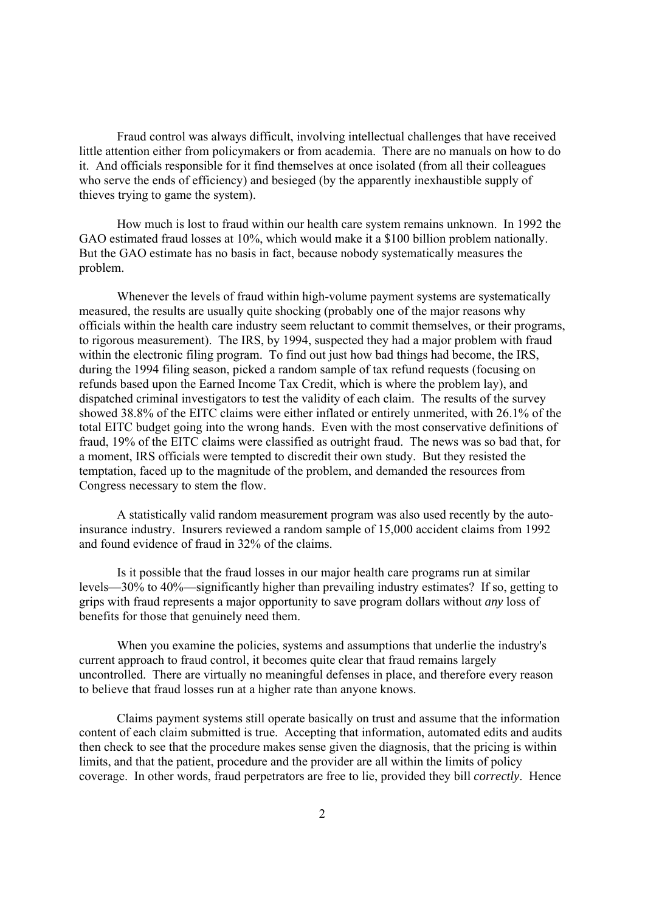Fraud control was always difficult, involving intellectual challenges that have received little attention either from policymakers or from academia. There are no manuals on how to do it. And officials responsible for it find themselves at once isolated (from all their colleagues who serve the ends of efficiency) and besieged (by the apparently inexhaustible supply of thieves trying to game the system).

 How much is lost to fraud within our health care system remains unknown. In 1992 the GAO estimated fraud losses at 10%, which would make it a \$100 billion problem nationally. But the GAO estimate has no basis in fact, because nobody systematically measures the problem.

 Whenever the levels of fraud within high-volume payment systems are systematically measured, the results are usually quite shocking (probably one of the major reasons why officials within the health care industry seem reluctant to commit themselves, or their programs, to rigorous measurement). The IRS, by 1994, suspected they had a major problem with fraud within the electronic filing program. To find out just how bad things had become, the IRS, during the 1994 filing season, picked a random sample of tax refund requests (focusing on refunds based upon the Earned Income Tax Credit, which is where the problem lay), and dispatched criminal investigators to test the validity of each claim. The results of the survey showed 38.8% of the EITC claims were either inflated or entirely unmerited, with 26.1% of the total EITC budget going into the wrong hands. Even with the most conservative definitions of fraud, 19% of the EITC claims were classified as outright fraud. The news was so bad that, for a moment, IRS officials were tempted to discredit their own study. But they resisted the temptation, faced up to the magnitude of the problem, and demanded the resources from Congress necessary to stem the flow.

 A statistically valid random measurement program was also used recently by the autoinsurance industry. Insurers reviewed a random sample of 15,000 accident claims from 1992 and found evidence of fraud in 32% of the claims.

 Is it possible that the fraud losses in our major health care programs run at similar levels—30% to 40%—significantly higher than prevailing industry estimates? If so, getting to grips with fraud represents a major opportunity to save program dollars without *any* loss of benefits for those that genuinely need them.

 When you examine the policies, systems and assumptions that underlie the industry's current approach to fraud control, it becomes quite clear that fraud remains largely uncontrolled. There are virtually no meaningful defenses in place, and therefore every reason to believe that fraud losses run at a higher rate than anyone knows.

 Claims payment systems still operate basically on trust and assume that the information content of each claim submitted is true. Accepting that information, automated edits and audits then check to see that the procedure makes sense given the diagnosis, that the pricing is within limits, and that the patient, procedure and the provider are all within the limits of policy coverage. In other words, fraud perpetrators are free to lie, provided they bill *correctly*. Hence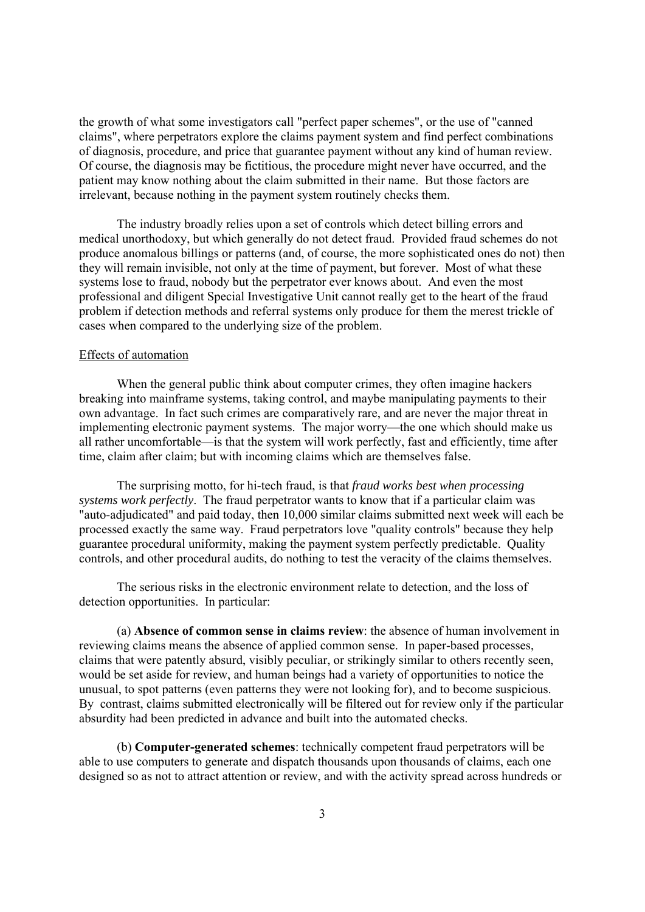the growth of what some investigators call "perfect paper schemes", or the use of "canned claims", where perpetrators explore the claims payment system and find perfect combinations of diagnosis, procedure, and price that guarantee payment without any kind of human review. Of course, the diagnosis may be fictitious, the procedure might never have occurred, and the patient may know nothing about the claim submitted in their name. But those factors are irrelevant, because nothing in the payment system routinely checks them.

 The industry broadly relies upon a set of controls which detect billing errors and medical unorthodoxy, but which generally do not detect fraud. Provided fraud schemes do not produce anomalous billings or patterns (and, of course, the more sophisticated ones do not) then they will remain invisible, not only at the time of payment, but forever. Most of what these systems lose to fraud, nobody but the perpetrator ever knows about. And even the most professional and diligent Special Investigative Unit cannot really get to the heart of the fraud problem if detection methods and referral systems only produce for them the merest trickle of cases when compared to the underlying size of the problem.

## Effects of automation

 When the general public think about computer crimes, they often imagine hackers breaking into mainframe systems, taking control, and maybe manipulating payments to their own advantage. In fact such crimes are comparatively rare, and are never the major threat in implementing electronic payment systems. The major worry—the one which should make us all rather uncomfortable—is that the system will work perfectly, fast and efficiently, time after time, claim after claim; but with incoming claims which are themselves false.

 The surprising motto, for hi-tech fraud, is that *fraud works best when processing systems work perfectly*. The fraud perpetrator wants to know that if a particular claim was "auto-adjudicated" and paid today, then 10,000 similar claims submitted next week will each be processed exactly the same way. Fraud perpetrators love "quality controls" because they help guarantee procedural uniformity, making the payment system perfectly predictable. Quality controls, and other procedural audits, do nothing to test the veracity of the claims themselves.

 The serious risks in the electronic environment relate to detection, and the loss of detection opportunities. In particular:

 (a) **Absence of common sense in claims review**: the absence of human involvement in reviewing claims means the absence of applied common sense. In paper-based processes, claims that were patently absurd, visibly peculiar, or strikingly similar to others recently seen, would be set aside for review, and human beings had a variety of opportunities to notice the unusual, to spot patterns (even patterns they were not looking for), and to become suspicious. By contrast, claims submitted electronically will be filtered out for review only if the particular absurdity had been predicted in advance and built into the automated checks.

 (b) **Computer-generated schemes**: technically competent fraud perpetrators will be able to use computers to generate and dispatch thousands upon thousands of claims, each one designed so as not to attract attention or review, and with the activity spread across hundreds or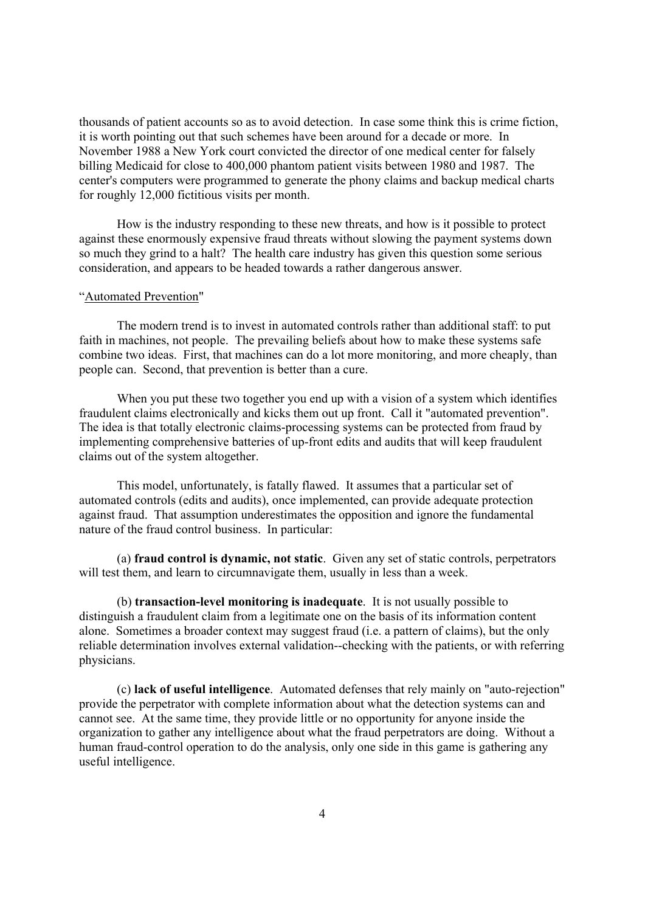thousands of patient accounts so as to avoid detection. In case some think this is crime fiction, it is worth pointing out that such schemes have been around for a decade or more. In November 1988 a New York court convicted the director of one medical center for falsely billing Medicaid for close to 400,000 phantom patient visits between 1980 and 1987. The center's computers were programmed to generate the phony claims and backup medical charts for roughly 12,000 fictitious visits per month.

 How is the industry responding to these new threats, and how is it possible to protect against these enormously expensive fraud threats without slowing the payment systems down so much they grind to a halt? The health care industry has given this question some serious consideration, and appears to be headed towards a rather dangerous answer.

#### "Automated Prevention"

 The modern trend is to invest in automated controls rather than additional staff: to put faith in machines, not people. The prevailing beliefs about how to make these systems safe combine two ideas. First, that machines can do a lot more monitoring, and more cheaply, than people can. Second, that prevention is better than a cure.

When you put these two together you end up with a vision of a system which identifies fraudulent claims electronically and kicks them out up front. Call it "automated prevention". The idea is that totally electronic claims-processing systems can be protected from fraud by implementing comprehensive batteries of up-front edits and audits that will keep fraudulent claims out of the system altogether.

 This model, unfortunately, is fatally flawed. It assumes that a particular set of automated controls (edits and audits), once implemented, can provide adequate protection against fraud. That assumption underestimates the opposition and ignore the fundamental nature of the fraud control business. In particular:

 (a) **fraud control is dynamic, not static**. Given any set of static controls, perpetrators will test them, and learn to circumnavigate them, usually in less than a week.

 (b) **transaction-level monitoring is inadequate**. It is not usually possible to distinguish a fraudulent claim from a legitimate one on the basis of its information content alone. Sometimes a broader context may suggest fraud (i.e. a pattern of claims), but the only reliable determination involves external validation--checking with the patients, or with referring physicians.

 (c) **lack of useful intelligence**. Automated defenses that rely mainly on "auto-rejection" provide the perpetrator with complete information about what the detection systems can and cannot see. At the same time, they provide little or no opportunity for anyone inside the organization to gather any intelligence about what the fraud perpetrators are doing. Without a human fraud-control operation to do the analysis, only one side in this game is gathering any useful intelligence.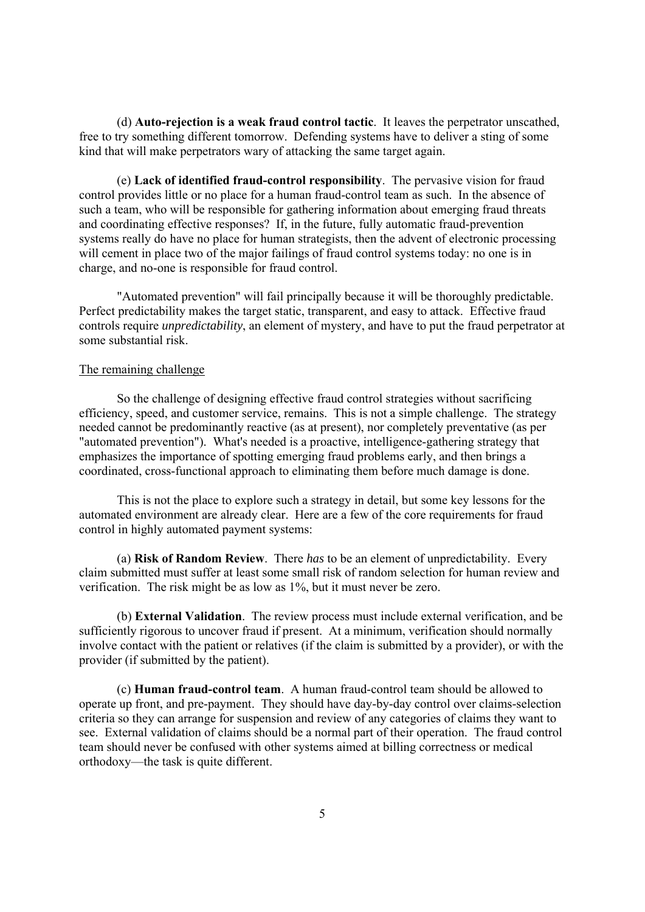(d) **Auto-rejection is a weak fraud control tactic**. It leaves the perpetrator unscathed, free to try something different tomorrow. Defending systems have to deliver a sting of some kind that will make perpetrators wary of attacking the same target again.

 (e) **Lack of identified fraud-control responsibility**. The pervasive vision for fraud control provides little or no place for a human fraud-control team as such. In the absence of such a team, who will be responsible for gathering information about emerging fraud threats and coordinating effective responses? If, in the future, fully automatic fraud-prevention systems really do have no place for human strategists, then the advent of electronic processing will cement in place two of the major failings of fraud control systems today: no one is in charge, and no-one is responsible for fraud control.

 "Automated prevention" will fail principally because it will be thoroughly predictable. Perfect predictability makes the target static, transparent, and easy to attack. Effective fraud controls require *unpredictability*, an element of mystery, and have to put the fraud perpetrator at some substantial risk.

## The remaining challenge

 So the challenge of designing effective fraud control strategies without sacrificing efficiency, speed, and customer service, remains. This is not a simple challenge. The strategy needed cannot be predominantly reactive (as at present), nor completely preventative (as per "automated prevention"). What's needed is a proactive, intelligence-gathering strategy that emphasizes the importance of spotting emerging fraud problems early, and then brings a coordinated, cross-functional approach to eliminating them before much damage is done.

 This is not the place to explore such a strategy in detail, but some key lessons for the automated environment are already clear. Here are a few of the core requirements for fraud control in highly automated payment systems:

 (a) **Risk of Random Review**. There *has* to be an element of unpredictability. Every claim submitted must suffer at least some small risk of random selection for human review and verification. The risk might be as low as 1%, but it must never be zero.

 (b) **External Validation**. The review process must include external verification, and be sufficiently rigorous to uncover fraud if present. At a minimum, verification should normally involve contact with the patient or relatives (if the claim is submitted by a provider), or with the provider (if submitted by the patient).

 (c) **Human fraud-control team**. A human fraud-control team should be allowed to operate up front, and pre-payment. They should have day-by-day control over claims-selection criteria so they can arrange for suspension and review of any categories of claims they want to see. External validation of claims should be a normal part of their operation. The fraud control team should never be confused with other systems aimed at billing correctness or medical orthodoxy—the task is quite different.